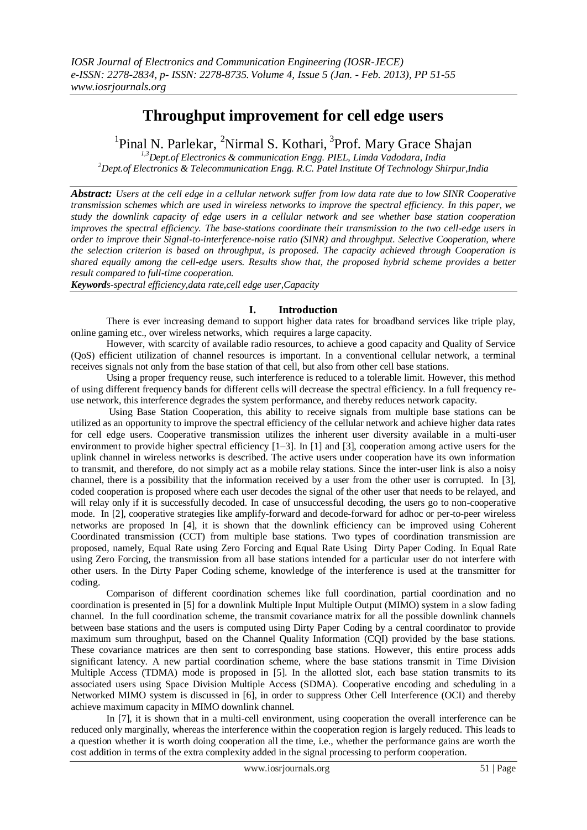# **Throughput improvement for cell edge users**

<sup>1</sup>Pinal N. Parlekar, <sup>2</sup>Nirmal S. Kothari, <sup>3</sup>Prof. Mary Grace Shajan

*1,3Dept.of Electronics & communication Engg. PIEL, Limda Vadodara, India <sup>2</sup>Dept.of Electronics & Telecommunication Engg. R.C. Patel Institute Of Technology Shirpur,India*

*Abstract: Users at the cell edge in a cellular network suffer from low data rate due to low SINR Cooperative transmission schemes which are used in wireless networks to improve the spectral efficiency. In this paper, we study the downlink capacity of edge users in a cellular network and see whether base station cooperation improves the spectral efficiency. The base-stations coordinate their transmission to the two cell-edge users in order to improve their Signal-to-interference-noise ratio (SINR) and throughput. Selective Cooperation, where the selection criterion is based on throughput, is proposed. The capacity achieved through Cooperation is shared equally among the cell-edge users. Results show that, the proposed hybrid scheme provides a better result compared to full-time cooperation.* 

*Keywords-spectral efficiency,data rate,cell edge user,Capacity*

# **I. Introduction**

There is ever increasing demand to support higher data rates for broadband services like triple play, online gaming etc., over wireless networks, which requires a large capacity.

However, with scarcity of available radio resources, to achieve a good capacity and Quality of Service (QoS) efficient utilization of channel resources is important. In a conventional cellular network, a terminal receives signals not only from the base station of that cell, but also from other cell base stations.

Using a proper frequency reuse, such interference is reduced to a tolerable limit. However, this method of using different frequency bands for different cells will decrease the spectral efficiency. In a full frequency reuse network, this interference degrades the system performance, and thereby reduces network capacity.

Using Base Station Cooperation, this ability to receive signals from multiple base stations can be utilized as an opportunity to improve the spectral efficiency of the cellular network and achieve higher data rates for cell edge users. Cooperative transmission utilizes the inherent user diversity available in a multi-user environment to provide higher spectral efficiency [1–3]. In [1] and [3], cooperation among active users for the uplink channel in wireless networks is described. The active users under cooperation have its own information to transmit, and therefore, do not simply act as a mobile relay stations. Since the inter-user link is also a noisy channel, there is a possibility that the information received by a user from the other user is corrupted. In [3], coded cooperation is proposed where each user decodes the signal of the other user that needs to be relayed, and will relay only if it is successfully decoded. In case of unsuccessful decoding, the users go to non-cooperative mode. In [2], cooperative strategies like amplify-forward and decode-forward for adhoc or per-to-peer wireless networks are proposed In [4], it is shown that the downlink efficiency can be improved using Coherent Coordinated transmission (CCT) from multiple base stations. Two types of coordination transmission are proposed, namely, Equal Rate using Zero Forcing and Equal Rate Using Dirty Paper Coding. In Equal Rate using Zero Forcing, the transmission from all base stations intended for a particular user do not interfere with other users. In the Dirty Paper Coding scheme, knowledge of the interference is used at the transmitter for coding.

Comparison of different coordination schemes like full coordination, partial coordination and no coordination is presented in [5] for a downlink Multiple Input Multiple Output (MIMO) system in a slow fading channel. In the full coordination scheme, the transmit covariance matrix for all the possible downlink channels between base stations and the users is computed using Dirty Paper Coding by a central coordinator to provide maximum sum throughput, based on the Channel Quality Information (CQI) provided by the base stations. These covariance matrices are then sent to corresponding base stations. However, this entire process adds significant latency. A new partial coordination scheme, where the base stations transmit in Time Division Multiple Access (TDMA) mode is proposed in [5]. In the allotted slot, each base station transmits to its associated users using Space Division Multiple Access (SDMA). Cooperative encoding and scheduling in a Networked MIMO system is discussed in [6], in order to suppress Other Cell Interference (OCI) and thereby achieve maximum capacity in MIMO downlink channel.

In [7], it is shown that in a multi-cell environment, using cooperation the overall interference can be reduced only marginally, whereas the interference within the cooperation region is largely reduced. This leads to a question whether it is worth doing cooperation all the time, i.e., whether the performance gains are worth the cost addition in terms of the extra complexity added in the signal processing to perform cooperation.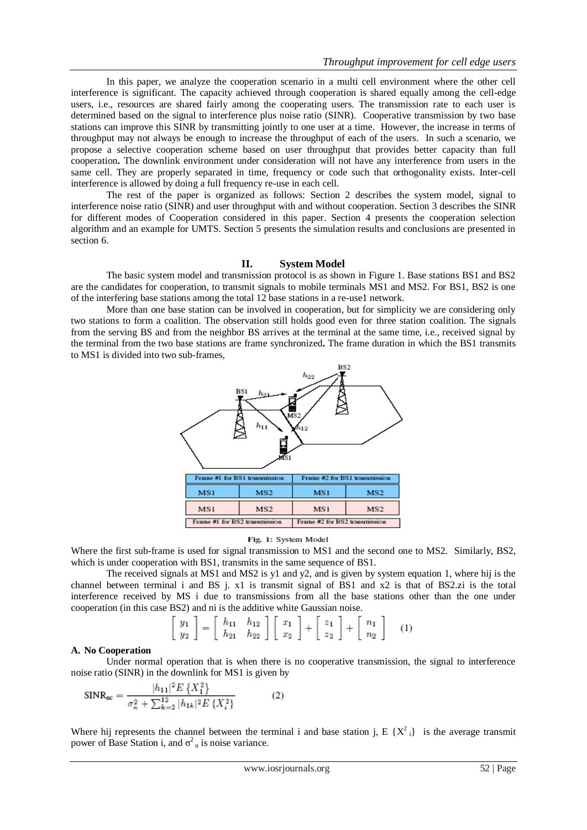In this paper, we analyze the cooperation scenario in a multi cell environment where the other cell interference is significant. The capacity achieved through cooperation is shared equally among the cell-edge users, i.e., resources are shared fairly among the cooperating users. The transmission rate to each user is determined based on the signal to interference plus noise ratio (SINR). Cooperative transmission by two base stations can improve this SINR by transmitting jointly to one user at a time. However, the increase in terms of throughput may not always be enough to increase the throughput of each of the users. In such a scenario, we propose a selective cooperation scheme based on user throughput that provides better capacity than full cooperation**.** The downlink environment under consideration will not have any interference from users in the same cell. They are properly separated in time, frequency or code such that orthogonality exists. Inter-cell interference is allowed by doing a full frequency re-use in each cell.

The rest of the paper is organized as follows: Section 2 describes the system model, signal to interference noise ratio (SINR) and user throughput with and without cooperation. Section 3 describes the SINR for different modes of Cooperation considered in this paper. Section 4 presents the cooperation selection algorithm and an example for UMTS. Section 5 presents the simulation results and conclusions are presented in section 6.

## **II. System Model**

The basic system model and transmission protocol is as shown in Figure 1. Base stations BS1 and BS2 are the candidates for cooperation, to transmit signals to mobile terminals MS1 and MS2. For BS1, BS2 is one of the interfering base stations among the total 12 base stations in a re-use1 network.

More than one base station can be involved in cooperation, but for simplicity we are considering only two stations to form a coalition. The observation still holds good even for three station coalition. The signals from the serving BS and from the neighbor BS arrives at the terminal at the same time, i.e., received signal by the terminal from the two base stations are frame synchronized**.** The frame duration in which the BS1 transmits to MS1 is divided into two sub-frames,



#### Fig. 1: System Model

Where the first sub-frame is used for signal transmission to MS1 and the second one to MS2. Similarly, BS2, which is under cooperation with BS1, transmits in the same sequence of BS1.

The received signals at MS1 and MS2 is y1 and y2, and is given by system equation 1, where hij is the channel between terminal i and BS j. x1 is transmit signal of BS1 and x2 is that of BS2.zi is the total interference received by MS i due to transmissions from all the base stations other than the one under cooperation (in this case BS2) and ni is the additive white Gaussian noise.

$$
\left[\begin{array}{c}y_1\\y_2\end{array}\right] = \left[\begin{array}{cc}h_{11} & h_{12}\\h_{21} & h_{22}\end{array}\right] \left[\begin{array}{c}x_1\\x_2\end{array}\right] + \left[\begin{array}{c}z_1\\z_2\end{array}\right] + \left[\begin{array}{c}n_1\\n_2\end{array}\right] \qquad (1)
$$

### **A. No Cooperation**

Under normal operation that is when there is no cooperative transmission, the signal to interference noise ratio (SINR) in the downlink for MS1 is given by

$$
SINR_{nc} = \frac{|h_{11}|^2 E\left\{X_1^2\right\}}{\sigma_n^2 + \sum_{k=2}^{12} |h_{1k}|^2 E\left\{X_i^2\right\}} \tag{2}
$$

Where hij represents the channel between the terminal i and base station j, E  $\{X^2_i\}$  is the average transmit power of Base Station i, and  $\sigma^2$ <sub>n</sub> is noise variance.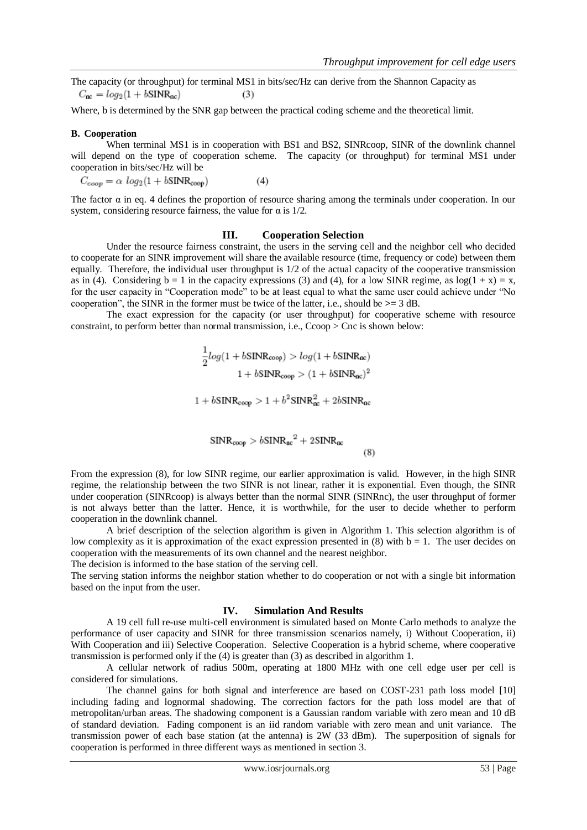The capacity (or throughput) for terminal MS1 in bits/sec/Hz can derive from the Shannon Capacity as  $C_{\text{nc}} = log_2(1 + bSINR_{\text{nc}})$  $(3)$ 

Where, b is determined by the SNR gap between the practical coding scheme and the theoretical limit.

#### **B. Cooperation**

When terminal MS1 is in cooperation with BS1 and BS2, SINRcoop, SINR of the downlink channel will depend on the type of cooperation scheme. The capacity (or throughput) for terminal MS1 under cooperation in bits/sec/Hz will be

 $C_{coop} = \alpha log_2(1 + bSINR_{coop})$  $(4)$ 

The factor  $\alpha$  in eq. 4 defines the proportion of resource sharing among the terminals under cooperation. In our system, considering resource fairness, the value for  $\alpha$  is 1/2.

#### **III. Cooperation Selection**

Under the resource fairness constraint, the users in the serving cell and the neighbor cell who decided to cooperate for an SINR improvement will share the available resource (time, frequency or code) between them equally. Therefore, the individual user throughput is 1/2 of the actual capacity of the cooperative transmission as in (4). Considering b = 1 in the capacity expressions (3) and (4), for a low SINR regime, as  $log(1 + x) = x$ , for the user capacity in "Cooperation mode" to be at least equal to what the same user could achieve under "No cooperation", the SINR in the former must be twice of the latter, i.e., should be **>=** 3 dB.

The exact expression for the capacity (or user throughput) for cooperative scheme with resource constraint, to perform better than normal transmission, i.e., Ccoop > Cnc is shown below:

$$
\frac{1}{2}log(1 + bSINR_{coop}) > log(1 + bSINR_{oc})
$$

$$
1 + bSINR_{coop} > (1 + bSINR_{oc})^2
$$

 $1 + b$ SINR<sub>coop</sub>  $> 1 + b^2$ SINR<sub>oc</sub> + 2bSINR<sub>oc</sub>

$$
SINR_{\text{coop}} > bSINR_{\text{nc}}^2 + 2SINR_{\text{nc}} \tag{8}
$$

From the expression (8), for low SINR regime, our earlier approximation is valid. However, in the high SINR regime, the relationship between the two SINR is not linear, rather it is exponential. Even though, the SINR under cooperation (SINRcoop) is always better than the normal SINR (SINRnc), the user throughput of former is not always better than the latter. Hence, it is worthwhile, for the user to decide whether to perform cooperation in the downlink channel.

A brief description of the selection algorithm is given in Algorithm 1. This selection algorithm is of low complexity as it is approximation of the exact expression presented in  $(8)$  with  $b = 1$ . The user decides on cooperation with the measurements of its own channel and the nearest neighbor.

The decision is informed to the base station of the serving cell.

The serving station informs the neighbor station whether to do cooperation or not with a single bit information based on the input from the user.

#### **IV. Simulation And Results**

A 19 cell full re-use multi-cell environment is simulated based on Monte Carlo methods to analyze the performance of user capacity and SINR for three transmission scenarios namely, i) Without Cooperation, ii) With Cooperation and iii) Selective Cooperation. Selective Cooperation is a hybrid scheme, where cooperative transmission is performed only if the (4) is greater than (3) as described in algorithm 1.

A cellular network of radius 500m, operating at 1800 MHz with one cell edge user per cell is considered for simulations.

The channel gains for both signal and interference are based on COST-231 path loss model [10] including fading and lognormal shadowing. The correction factors for the path loss model are that of metropolitan/urban areas. The shadowing component is a Gaussian random variable with zero mean and 10 dB of standard deviation. Fading component is an iid random variable with zero mean and unit variance. The transmission power of each base station (at the antenna) is 2W (33 dBm). The superposition of signals for cooperation is performed in three different ways as mentioned in section 3.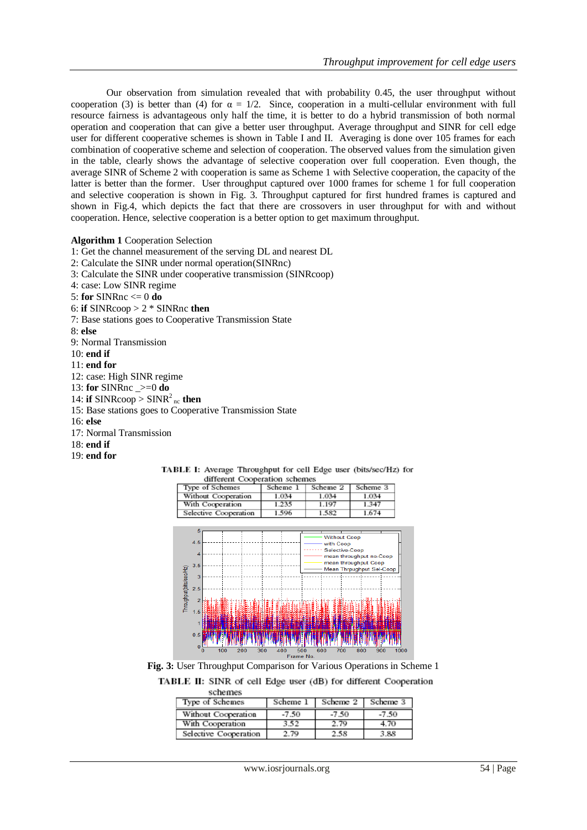Our observation from simulation revealed that with probability 0.45, the user throughput without cooperation (3) is better than (4) for  $\alpha = 1/2$ . Since, cooperation in a multi-cellular environment with full resource fairness is advantageous only half the time, it is better to do a hybrid transmission of both normal operation and cooperation that can give a better user throughput. Average throughput and SINR for cell edge user for different cooperative schemes is shown in Table I and II. Averaging is done over 105 frames for each combination of cooperative scheme and selection of cooperation. The observed values from the simulation given in the table, clearly shows the advantage of selective cooperation over full cooperation. Even though, the average SINR of Scheme 2 with cooperation is same as Scheme 1 with Selective cooperation, the capacity of the latter is better than the former. User throughput captured over 1000 frames for scheme 1 for full cooperation and selective cooperation is shown in Fig. 3. Throughput captured for first hundred frames is captured and shown in Fig.4, which depicts the fact that there are crossovers in user throughput for with and without cooperation. Hence, selective cooperation is a better option to get maximum throughput.

**Algorithm 1** Cooperation Selection

1: Get the channel measurement of the serving DL and nearest DL

- 2: Calculate the SINR under normal operation(SINRnc)
- 3: Calculate the SINR under cooperative transmission (SINRcoop)
- 4: case: Low SINR regime
- 5: **for** SINRnc <= 0 **do**
- 6: **if** SINRcoop > 2 \* SINRnc **then**
- 7: Base stations goes to Cooperative Transmission State
- 8: **else**
- 9: Normal Transmission
- 10: **end if**

#### 11: **end for**

- 12: case: High SINR regime
- 13: **for** SINRnc \_>=0 **do**
- 14: **if** SINRcoop >  $SINR<sup>2</sup>_{nc}$  **then**
- 15: Base stations goes to Cooperative Transmission State
- 16: **else**
- 17: Normal Transmission
- 18: **end if**
- 19: **end for**

# TABLE I: Average Throughput for cell Edge user (bits/sec/Hz) for

| different Cooperation schemes<br>Type of Schemes | Scheme 1 | Scheme 2 | Scheme <sub>3</sub> |
|--------------------------------------------------|----------|----------|---------------------|
| Without Cooperation                              | 1.034    | 1.034    | 1.034               |
| With Cooperation                                 | 1.235    | 1.197    | 1.347               |
| Selective Cooperation                            | 1.596    | 1.582    | 1.674               |
| 5                                                |          |          |                     |



**Fig. 3:** User Throughput Comparison for Various Operations in Scheme 1TABLE II: SINR of cell Edge user (dB) for different Cooperation

schemes

| Type of Schemes       |       | Scheme 1   Scheme 2 | Scheme 3 |
|-----------------------|-------|---------------------|----------|
| Without Cooperation   | -7.50 | $-7.50$             | $-7.50$  |
| With Cooperation      | 3.52  | 2.79                | 4.70     |
| Selective Cooperation | 2.79  | 2.58                | 3.88     |